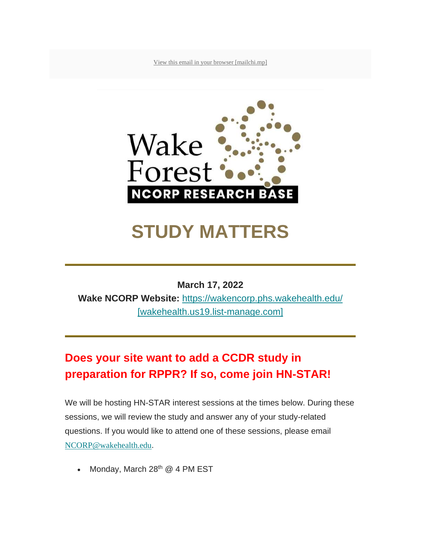[View this email in your browser \[mailchi.mp\]](https://urldefense.com/v3/__https:/mailchi.mp/1d7c977acca0/wake-forest-research-base-bi-weekly-june-10-14274219?e=5e52385a02__;!!GA8Xfdg!n_3L1_Aaohp1s5HvHIg_wkX_o8Wm_hp2gH5jPNH1SuMpvpcrHdm7AOw5pgv8NeQz$)



# **STUDY MATTERS**

#### **March 17, 2022**

**Wake NCORP Website:** [https://wakencorp.phs.wakehealth.edu/](https://urldefense.com/v3/__https:/wakehealth.us19.list-manage.com/track/click?u=a8dd4147fd4a4623cc1b318f8&id=cb1ebcf82f&e=5e52385a02__;!!GA8Xfdg!n_3L1_Aaohp1s5HvHIg_wkX_o8Wm_hp2gH5jPNH1SuMpvpcrHdm7AOw5phR1ukwD$)  [\[wakehealth.us19.list-manage.com\]](https://urldefense.com/v3/__https:/wakehealth.us19.list-manage.com/track/click?u=a8dd4147fd4a4623cc1b318f8&id=cb1ebcf82f&e=5e52385a02__;!!GA8Xfdg!n_3L1_Aaohp1s5HvHIg_wkX_o8Wm_hp2gH5jPNH1SuMpvpcrHdm7AOw5phR1ukwD$)

## **Does your site want to add a CCDR study in preparation for RPPR? If so, come join HN-STAR!**

We will be hosting HN-STAR interest sessions at the times below. During these sessions, we will review the study and answer any of your study-related questions. If you would like to attend one of these sessions, please email [NCORP@wakehealth.edu](mailto:NCORP@wakehealth.edu).

Monday, March 28<sup>th</sup> @ 4 PM EST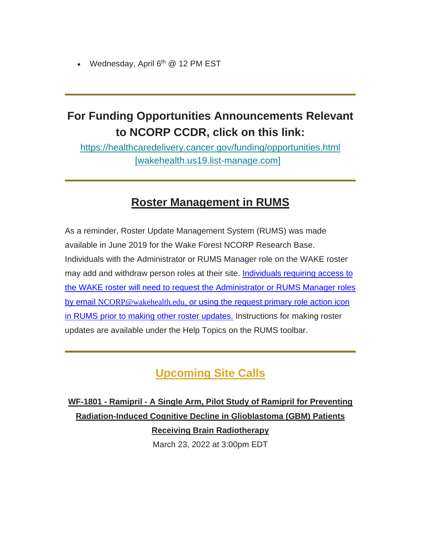Wednesday, April 6<sup>th</sup> @ 12 PM EST

## **For Funding Opportunities Announcements Relevant to NCORP CCDR, click on this link:**

[https://healthcaredelivery.cancer.gov/funding/opportunities.html](https://urldefense.com/v3/__https:/wakehealth.us19.list-manage.com/track/click?u=a8dd4147fd4a4623cc1b318f8&id=0113baeb9a&e=5e52385a02__;!!GA8Xfdg!n_3L1_Aaohp1s5HvHIg_wkX_o8Wm_hp2gH5jPNH1SuMpvpcrHdm7AOw5phbDlNfN$)  [\[wakehealth.us19.list-manage.com\]](https://urldefense.com/v3/__https:/wakehealth.us19.list-manage.com/track/click?u=a8dd4147fd4a4623cc1b318f8&id=0113baeb9a&e=5e52385a02__;!!GA8Xfdg!n_3L1_Aaohp1s5HvHIg_wkX_o8Wm_hp2gH5jPNH1SuMpvpcrHdm7AOw5phbDlNfN$)

### **Roster Management in RUMS**

As a reminder, Roster Update Management System (RUMS) was made available in June 2019 for the Wake Forest NCORP Research Base. Individuals with the Administrator or RUMS Manager role on the WAKE roster may add and withdraw person roles at their site. Individuals requiring access to the WAKE roster will need to request the Administrator or RUMS Manager roles by email [NCORP@wakehealth.edu](mailto:NCORP@wakehealth.edu), or using the request primary role action icon in RUMS prior to making other roster updates. Instructions for making roster updates are available under the Help Topics on the RUMS toolbar.

## **Upcoming Site Calls**

**WF-1801 - Ramipril - A Single Arm, Pilot Study of Ramipril for Preventing Radiation-Induced Cognitive Decline in Glioblastoma (GBM) Patients Receiving Brain Radiotherapy** March 23, 2022 at 3:00pm EDT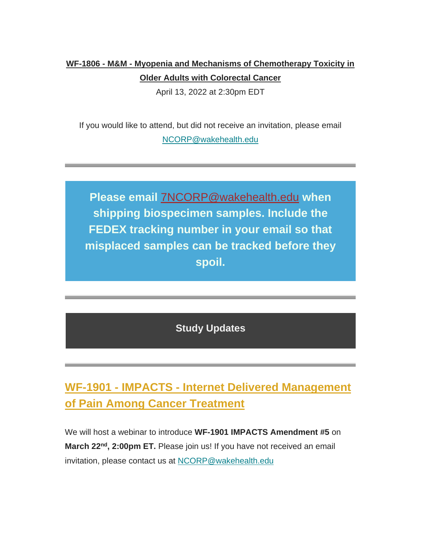## **WF-1806 - M&M - Myopenia and Mechanisms of Chemotherapy Toxicity in Older Adults with Colorectal Cancer**

April 13, 2022 at 2:30pm EDT

If you would like to attend, but did not receive an invitation, please email [NCORP@wakehealth.edu](mailto:NCORP@wakehealth.edu)

**Please email** [7NCORP@wakehealth.edu](mailto:7NCORP@wakehealth.edu) **when shipping biospecimen samples. Include the FEDEX tracking number in your email so that misplaced samples can be tracked before they spoil.**

**Study Updates**

**WF-1901 - IMPACTS - Internet Delivered Management of Pain Among Cancer Treatment**

We will host a webinar to introduce **WF-1901 IMPACTS Amendment #5** on **March 22nd, 2:00pm ET.** Please join us! If you have not received an email invitation, please contact us at [NCORP@wakehealth.edu](mailto:NCORP@wakehealth.edu)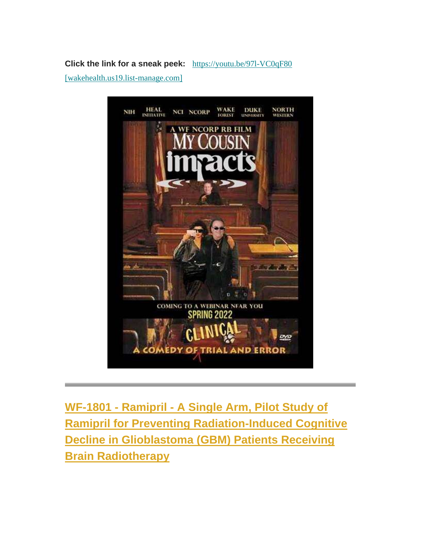**Click the link for a sneak peek:** https://youtu.be/971-VC0qF80

[\[wakehealth.us19.list-manage.com\]](https://urldefense.com/v3/__https:/wakehealth.us19.list-manage.com/track/click?u=a8dd4147fd4a4623cc1b318f8&id=adaae6458a&e=5e52385a02__;!!GA8Xfdg!n_3L1_Aaohp1s5HvHIg_wkX_o8Wm_hp2gH5jPNH1SuMpvpcrHdm7AOw5poNIzwPd$)



**WF-1801 - Ramipril - A Single Arm, Pilot Study of Ramipril for Preventing Radiation-Induced Cognitive Decline in Glioblastoma (GBM) Patients Receiving Brain Radiotherapy**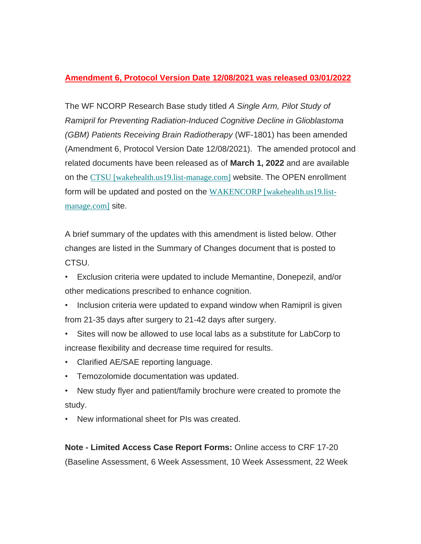#### **Amendment 6, Protocol Version Date 12/08/2021 was released 03/01/2022**

The WF NCORP Research Base study titled *A Single Arm, Pilot Study of Ramipril for Preventing Radiation-Induced Cognitive Decline in Glioblastoma (GBM) Patients Receiving Brain Radiotherapy* (WF-1801) has been amended (Amendment 6, Protocol Version Date 12/08/2021). The amended protocol and related documents have been released as of **March 1, 2022** and are available on the [CTSU \[wakehealth.us19.list-manage.com\]](https://urldefense.com/v3/__https:/wakehealth.us19.list-manage.com/track/click?u=a8dd4147fd4a4623cc1b318f8&id=3300651f11&e=5e52385a02__;!!GA8Xfdg!n_3L1_Aaohp1s5HvHIg_wkX_o8Wm_hp2gH5jPNH1SuMpvpcrHdm7AOw5plC6KlJE$) website. The OPEN enrollment form will be updated and posted on the [WAKENCORP \[wakehealth.us19.list](https://urldefense.com/v3/__https:/wakehealth.us19.list-manage.com/track/click?u=a8dd4147fd4a4623cc1b318f8&id=66e2811402&e=5e52385a02__;!!GA8Xfdg!n_3L1_Aaohp1s5HvHIg_wkX_o8Wm_hp2gH5jPNH1SuMpvpcrHdm7AOw5pnx7KNgS$)[manage.com\]](https://urldefense.com/v3/__https:/wakehealth.us19.list-manage.com/track/click?u=a8dd4147fd4a4623cc1b318f8&id=66e2811402&e=5e52385a02__;!!GA8Xfdg!n_3L1_Aaohp1s5HvHIg_wkX_o8Wm_hp2gH5jPNH1SuMpvpcrHdm7AOw5pnx7KNgS$) site.

A brief summary of the updates with this amendment is listed below. Other changes are listed in the Summary of Changes document that is posted to CTSU.

- Exclusion criteria were updated to include Memantine, Donepezil, and/or other medications prescribed to enhance cognition.
- Inclusion criteria were updated to expand window when Ramipril is given from 21-35 days after surgery to 21-42 days after surgery.
- Sites will now be allowed to use local labs as a substitute for LabCorp to increase flexibility and decrease time required for results.
- Clarified AE/SAE reporting language.
- Temozolomide documentation was updated.
- New study flyer and patient/family brochure were created to promote the study.
- New informational sheet for PIs was created.

**Note - Limited Access Case Report Forms:** Online access to CRF 17-20 (Baseline Assessment, 6 Week Assessment, 10 Week Assessment, 22 Week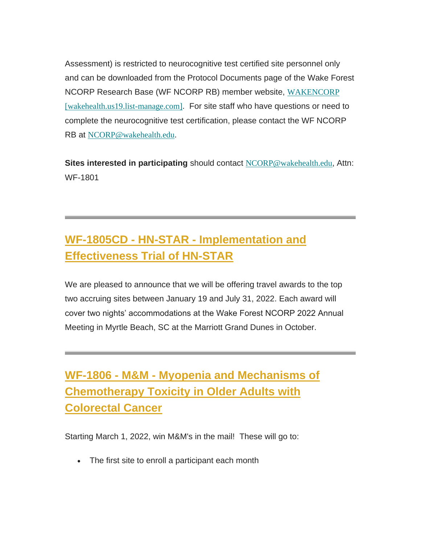Assessment) is restricted to neurocognitive test certified site personnel only and can be downloaded from the Protocol Documents page of the Wake Forest NCORP Research Base (WF NCORP RB) member website, [WAKENCORP](https://urldefense.com/v3/__https:/wakehealth.us19.list-manage.com/track/click?u=a8dd4147fd4a4623cc1b318f8&id=e08e65f4a0&e=5e52385a02__;!!GA8Xfdg!n_3L1_Aaohp1s5HvHIg_wkX_o8Wm_hp2gH5jPNH1SuMpvpcrHdm7AOw5phpRfmaD$)  [\[wakehealth.us19.list-manage.com\]](https://urldefense.com/v3/__https:/wakehealth.us19.list-manage.com/track/click?u=a8dd4147fd4a4623cc1b318f8&id=e08e65f4a0&e=5e52385a02__;!!GA8Xfdg!n_3L1_Aaohp1s5HvHIg_wkX_o8Wm_hp2gH5jPNH1SuMpvpcrHdm7AOw5phpRfmaD$). For site staff who have questions or need to complete the neurocognitive test certification, please contact the WF NCORP RB at [NCORP@wakehealth.edu](mailto:NCORP@wakehealth.edu).

**Sites interested in participating** should contact [NCORP@wakehealth.edu](mailto:NCORP@wakehealth.edu), Attn: WF-1801

## **WF-1805CD - HN-STAR - Implementation and Effectiveness Trial of HN-STAR**

We are pleased to announce that we will be offering travel awards to the top two accruing sites between January 19 and July 31, 2022. Each award will cover two nights' accommodations at the Wake Forest NCORP 2022 Annual Meeting in Myrtle Beach, SC at the Marriott Grand Dunes in October.

**WF-1806 - M&M - Myopenia and Mechanisms of Chemotherapy Toxicity in Older Adults with Colorectal Cancer**

Starting March 1, 2022, win M&M's in the mail! These will go to:

• The first site to enroll a participant each month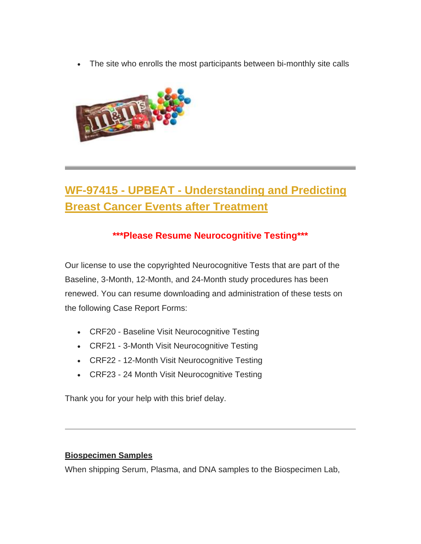The site who enrolls the most participants between bi-monthly site calls



## **WF-97415 - UPBEAT - Understanding and Predicting Breast Cancer Events after Treatment**

#### **\*\*\*Please Resume Neurocognitive Testing\*\*\***

Our license to use the copyrighted Neurocognitive Tests that are part of the Baseline, 3-Month, 12-Month, and 24-Month study procedures has been renewed. You can resume downloading and administration of these tests on the following Case Report Forms:

- CRF20 Baseline Visit Neurocognitive Testing
- CRF21 3-Month Visit Neurocognitive Testing
- CRF22 12-Month Visit Neurocognitive Testing
- CRF23 24 Month Visit Neurocognitive Testing

Thank you for your help with this brief delay.

#### **Biospecimen Samples**

When shipping Serum, Plasma, and DNA samples to the Biospecimen Lab,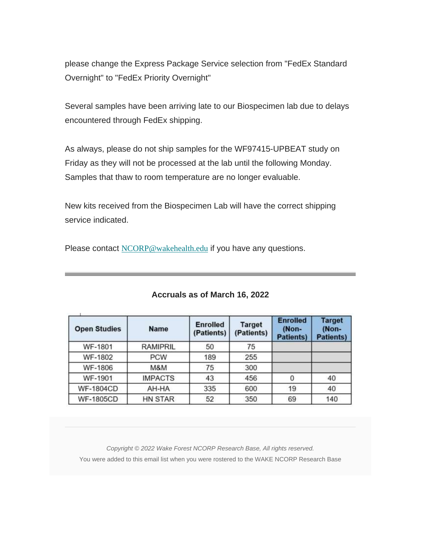please change the Express Package Service selection from "FedEx Standard Overnight" to "FedEx Priority Overnight"

Several samples have been arriving late to our Biospecimen lab due to delays encountered through FedEx shipping.

As always, please do not ship samples for the WF97415-UPBEAT study on Friday as they will not be processed at the lab until the following Monday. Samples that thaw to room temperature are no longer evaluable.

New kits received from the Biospecimen Lab will have the correct shipping service indicated.

Please contact [NCORP@wakehealth.edu](mailto:NCORP@wakehealth.edu) if you have any questions.

| <b>Open Studies</b> | <b>Name</b>     | <b>Enrolled</b><br>(Patients) | <b>Target</b><br>(Patients) | <b>Enrolled</b><br>(Non-<br><b>Patients)</b> | <b>Target</b><br>(Non-<br><b>Patients)</b> |
|---------------------|-----------------|-------------------------------|-----------------------------|----------------------------------------------|--------------------------------------------|
| WF-1801             | <b>RAMIPRIL</b> | 50                            | 75                          |                                              |                                            |
| <b>WF-1802</b>      | <b>PCW</b>      | 189                           | 255                         |                                              |                                            |
| <b>WF-1806</b>      | M&M             | 75                            | 300                         |                                              |                                            |
| WF-1901             | <b>IMPACTS</b>  | 43                            | 456                         |                                              | 40                                         |
| <b>WF-1804CD</b>    | AH-HA           | 335                           | 600                         | 19                                           | 40                                         |
| <b>WF-1805CD</b>    | <b>HN STAR</b>  | 52                            | 350                         | 69                                           | 140                                        |

#### **Accruals as of March 16, 2022**

*Copyright © 2022 Wake Forest NCORP Research Base, All rights reserved.* You were added to this email list when you were rostered to the WAKE NCORP Research Base